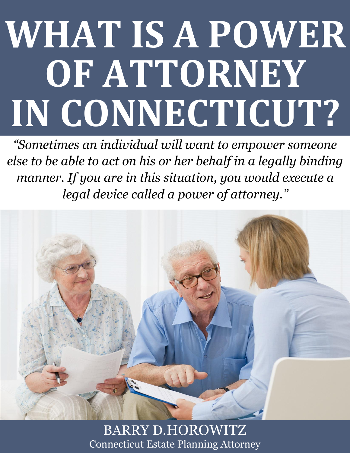# **WHAT IS A POWER OF ATTORNEY IN CONNECTICUT?**

*"Sometimes an individual will want to empower someone else to be able to act on his or her behalf in a legally binding manner. If you are in this situation, you would execute a legal device called a power of attorney."*



**Microsoft Attorney <b>in Connecticut** Estate Planning Attorney BARRY D.HOROWITZ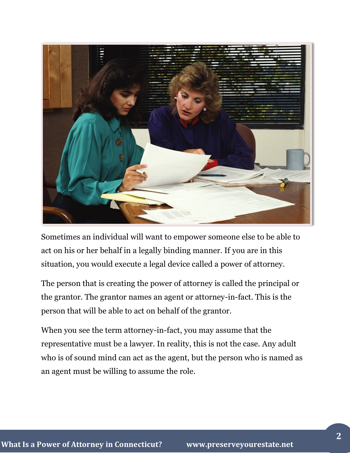

Sometimes an individual will want to empower someone else to be able to act on his or her behalf in a legally binding manner. If you are in this situation, you would execute a legal device called a power of attorney.

The person that is creating the power of attorney is called the principal or the grantor. The grantor names an agent or attorney-in-fact. This is the person that will be able to act on behalf of the grantor.

When you see the term attorney-in-fact, you may assume that the representative must be a lawyer. In reality, this is not the case. Any adult who is of sound mind can act as the agent, but the person who is named as an agent must be willing to assume the role.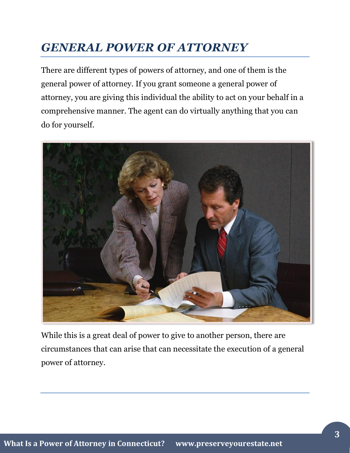# *GENERAL POWER OF ATTORNEY*

There are different types of powers of attorney, and one of them is the general power of attorney. If you grant someone a general power of attorney, you are giving this individual the ability to act on your behalf in a comprehensive manner. The agent can do virtually anything that you can do for yourself.



While this is a great deal of power to give to another person, there are circumstances that can arise that can necessitate the execution of a general power of attorney.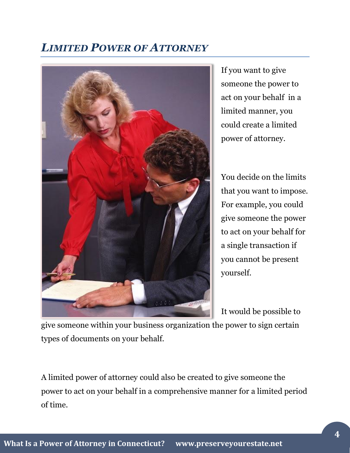#### *LIMITED POWER OF ATTORNEY*



If you want to give someone the power to act on your behalf in a limited manner, you could create a limited power of attorney.

You decide on the limits that you want to impose. For example, you could give someone the power to act on your behalf for a single transaction if you cannot be present yourself.

It would be possible to

give someone within your business organization the power to sign certain types of documents on your behalf.

A limited power of attorney could also be created to give someone the power to act on your behalf in a comprehensive manner for a limited period of time.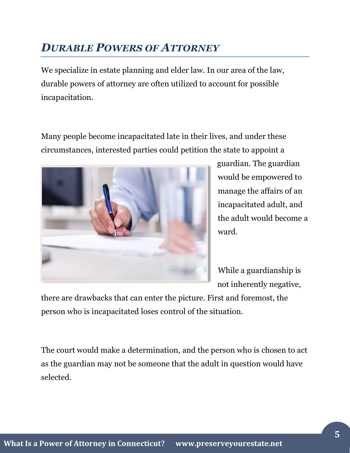## *DURABLE POWERS OF ATTORNEY*

We specialize in estate planning and elder law. In our area of the law, durable powers of attorney are often utilized to account for possible incapacitation.

Many people become incapacitated late in their lives, and under these circumstances, interested parties could petition the state to appoint a



guardian. The guardian would be empowered to manage the affairs of an incapacitated adult, and the adult would become a ward.

While a guardianship is not inherently negative,

there are drawbacks that can enter the picture. First and foremost, the person who is incapacitated loses control of the situation.

The court would make a determination, and the person who is chosen to act as the guardian may not be someone that the adult in question would have selected.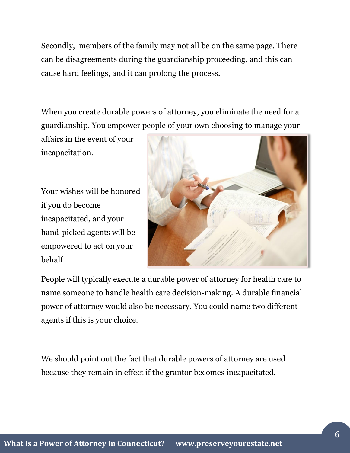Secondly, members of the family may not all be on the same page. There can be disagreements during the guardianship proceeding, and this can cause hard feelings, and it can prolong the process.

When you create durable powers of attorney, you eliminate the need for a guardianship. You empower people of your own choosing to manage your

affairs in the event of your incapacitation.

Your wishes will be honored if you do become incapacitated, and your hand-picked agents will be empowered to act on your behalf.



People will typically execute a durable power of attorney for health care to name someone to handle health care decision-making. A durable financial power of attorney would also be necessary. You could name two different agents if this is your choice.

We should point out the fact that durable powers of attorney are used because they remain in effect if the grantor becomes incapacitated.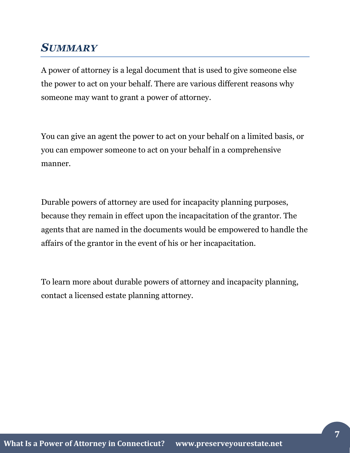#### *SUMMARY*

A power of attorney is a legal document that is used to give someone else the power to act on your behalf. There are various different reasons why someone may want to grant a power of attorney.

You can give an agent the power to act on your behalf on a limited basis, or you can empower someone to act on your behalf in a comprehensive manner.

Durable powers of attorney are used for incapacity planning purposes, because they remain in effect upon the incapacitation of the grantor. The agents that are named in the documents would be empowered to handle the affairs of the grantor in the event of his or her incapacitation.

To learn more about durable powers of attorney and incapacity planning, contact a licensed estate planning attorney.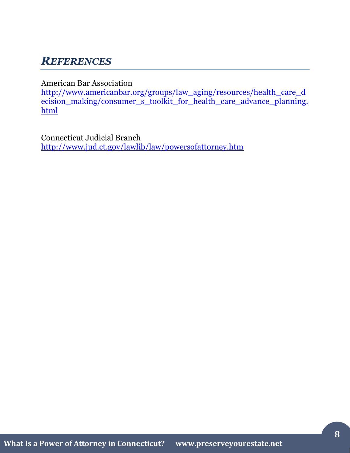## *REFERENCES*

American Bar Association

[http://www.americanbar.org/groups/law\\_aging/resources/health\\_care\\_d](http://www.americanbar.org/groups/law_aging/resources/health_care_decision_making/consumer_s_toolkit_for_health_care_advance_planning.html) [ecision\\_making/consumer\\_s\\_toolkit\\_for\\_health\\_care\\_advance\\_planning.](http://www.americanbar.org/groups/law_aging/resources/health_care_decision_making/consumer_s_toolkit_for_health_care_advance_planning.html) [html](http://www.americanbar.org/groups/law_aging/resources/health_care_decision_making/consumer_s_toolkit_for_health_care_advance_planning.html)

Connecticut Judicial Branch <http://www.jud.ct.gov/lawlib/law/powersofattorney.htm>